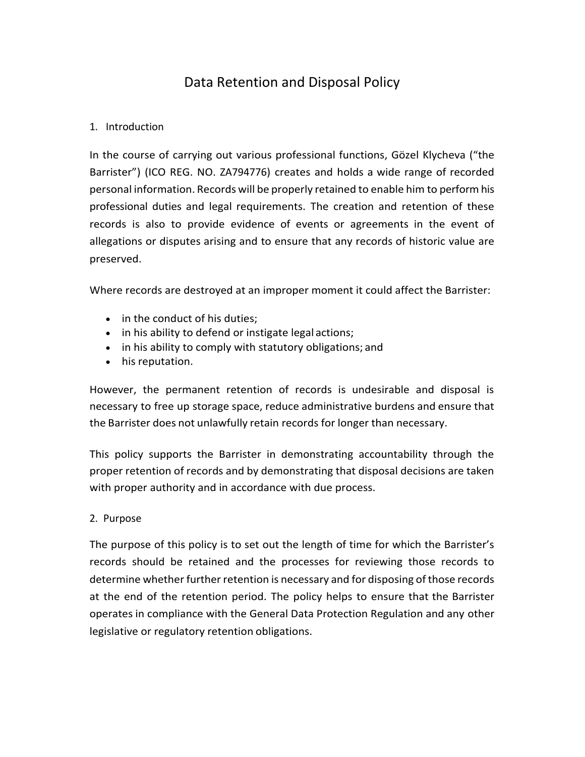# Data Retention and Disposal Policy

## 1. Introduction

In the course of carrying out various professional functions, Gözel Klycheva ("the Barrister") (ICO REG. NO. ZA794776) creates and holds a wide range of recorded personal information. Records will be properly retained to enable him to perform his professional duties and legal requirements. The creation and retention of these records is also to provide evidence of events or agreements in the event of allegations or disputes arising and to ensure that any records of historic value are preserved.

Where records are destroyed at an improper moment it could affect the Barrister:

- in the conduct of his duties;
- in his ability to defend or instigate legal actions;
- in his ability to comply with statutory obligations; and
- his reputation.

However, the permanent retention of records is undesirable and disposal is necessary to free up storage space, reduce administrative burdens and ensure that the Barrister does not unlawfully retain records for longer than necessary.

This policy supports the Barrister in demonstrating accountability through the proper retention of records and by demonstrating that disposal decisions are taken with proper authority and in accordance with due process.

## 2. Purpose

The purpose of this policy is to set out the length of time for which the Barrister's records should be retained and the processes for reviewing those records to determine whether further retention is necessary and for disposing of those records at the end of the retention period. The policy helps to ensure that the Barrister operates in compliance with the General Data Protection Regulation and any other legislative or regulatory retention obligations.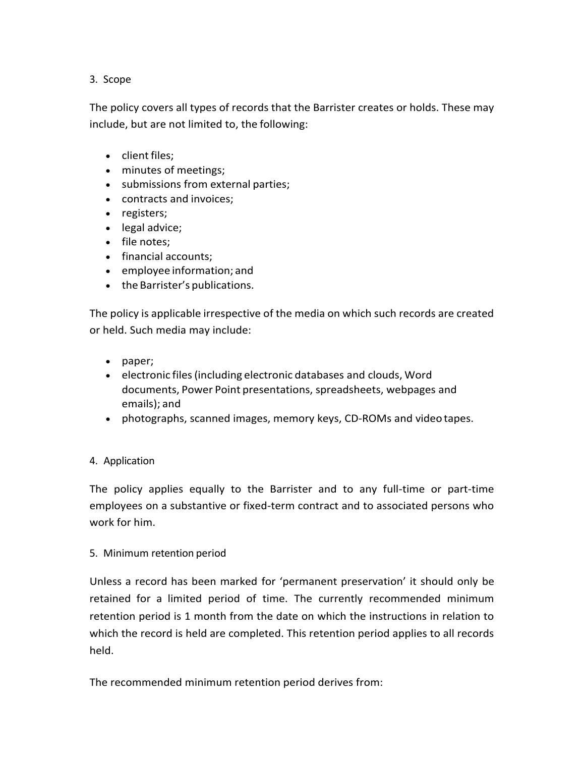# 3. Scope

The policy covers all types of records that the Barrister creates or holds. These may include, but are not limited to, the following:

- client files:
- minutes of meetings;
- submissions from external parties;
- contracts and invoices;
- registers;
- legal advice;
- file notes;
- financial accounts;
- employee information; and
- the Barrister's publications.

The policy is applicable irrespective of the media on which such records are created or held. Such media may include:

- paper;
- electronic files(including electronic databases and clouds, Word documents, Power Point presentations, spreadsheets, webpages and emails); and
- photographs, scanned images, memory keys, CD-ROMs and video tapes.

## 4. Application

The policy applies equally to the Barrister and to any full-time or part-time employees on a substantive or fixed-term contract and to associated persons who work for him.

#### 5. Minimum retention period

Unless a record has been marked for 'permanent preservation' it should only be retained for a limited period of time. The currently recommended minimum retention period is 1 month from the date on which the instructions in relation to which the record is held are completed. This retention period applies to all records held.

The recommended minimum retention period derives from: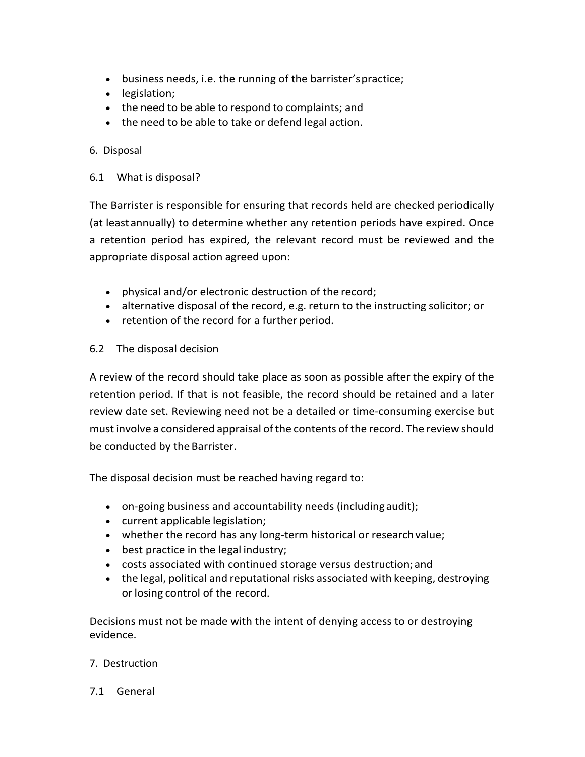- business needs, i.e. the running of the barrister'spractice;
- legislation;
- the need to be able to respond to complaints; and
- the need to be able to take or defend legal action.

# 6. Disposal

6.1 What is disposal?

The Barrister is responsible for ensuring that records held are checked periodically (at leastannually) to determine whether any retention periods have expired. Once a retention period has expired, the relevant record must be reviewed and the appropriate disposal action agreed upon:

- physical and/or electronic destruction of the record;
- alternative disposal of the record, e.g. return to the instructing solicitor; or
- retention of the record for a further period.
- 6.2 The disposal decision

A review of the record should take place as soon as possible after the expiry of the retention period. If that is not feasible, the record should be retained and a later review date set. Reviewing need not be a detailed or time-consuming exercise but mustinvolve a considered appraisal ofthe contents of the record. The review should be conducted by the Barrister.

The disposal decision must be reached having regard to:

- on-going business and accountability needs (includingaudit);
- current applicable legislation;
- whether the record has any long-term historical or researchvalue;
- best practice in the legal industry;
- costs associated with continued storage versus destruction;and
- the legal, political and reputational risks associated with keeping, destroying or losing control of the record.

Decisions must not be made with the intent of denying access to or destroying evidence.

## 7. Destruction

7.1 General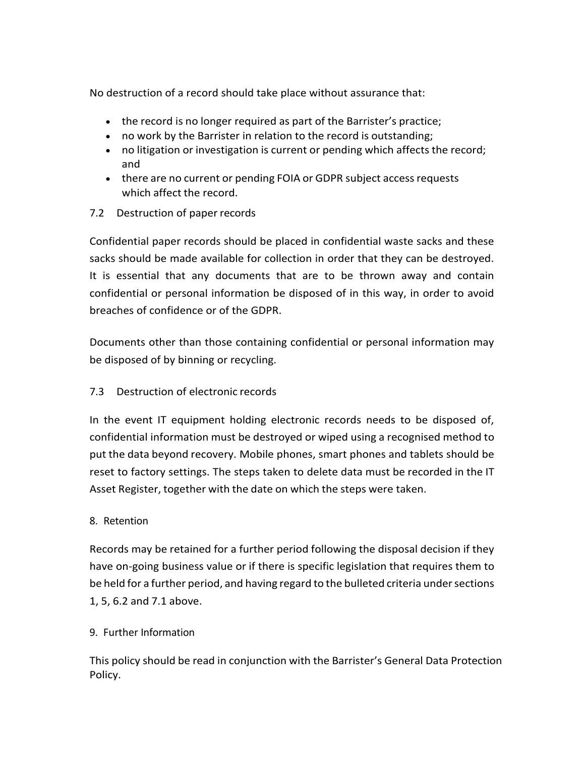No destruction of a record should take place without assurance that:

- the record is no longer required as part of the Barrister's practice;
- no work by the Barrister in relation to the record is outstanding;
- no litigation or investigation is current or pending which affects the record; and
- there are no current or pending FOIA or GDPR subject access requests which affect the record.
- 7.2 Destruction of paper records

Confidential paper records should be placed in confidential waste sacks and these sacks should be made available for collection in order that they can be destroyed. It is essential that any documents that are to be thrown away and contain confidential or personal information be disposed of in this way, in order to avoid breaches of confidence or of the GDPR.

Documents other than those containing confidential or personal information may be disposed of by binning or recycling.

7.3 Destruction of electronic records

In the event IT equipment holding electronic records needs to be disposed of, confidential information must be destroyed or wiped using a recognised method to put the data beyond recovery. Mobile phones, smart phones and tablets should be reset to factory settings. The steps taken to delete data must be recorded in the IT Asset Register, together with the date on which the steps were taken.

## 8. Retention

Records may be retained for a further period following the disposal decision if they have on-going business value or if there is specific legislation that requires them to be held for a further period, and having regard to the bulleted criteria under sections 1, 5, 6.2 and 7.1 above.

## 9. Further Information

This policy should be read in conjunction with the Barrister's General Data Protection Policy.